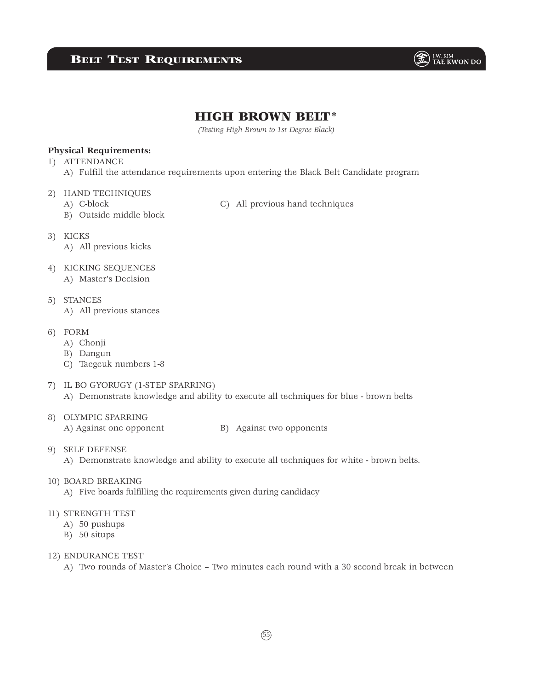# **BELT TEST REQUIREMENTS**



# HIGH BROWN BELT\*

*(Testing High Brown to 1st Degree Black)*

#### **Physical Requirements:**

- 1) ATTENDANCE
	- A) Fulfill the attendance requirements upon entering the Black Belt Candidate program
- 2) HAND TECHNIQUES
	- B) Outside middle block
	- A) C-block C) All previous hand techniques
- 3) KICKS
	- A) All previous kicks
- 4) KICKING SEQUENCES
	- A) Master's Decision
- 5) STANCES A) All previous stances
- 6) FORM
	- A) Chonji
	- B) Dangun
	- C) Taegeuk numbers 1-8
- 7) IL BO GYORUGY (1-STEP SPARRING)
	- A) Demonstrate knowledge and ability to execute all techniques for blue brown belts
- 8) OLYMPIC SPARRING A) Against one opponent B) Against two opponents
	-

- 9) SELF DEFENSE
	- A) Demonstrate knowledge and ability to execute all techniques for white brown belts.
- 10) BOARD BREAKING
	- A) Five boards fulfilling the requirements given during candidacy
- 11) STRENGTH TEST
	- A) 50 pushups
	- B) 50 situps
- 12) ENDURANCE TEST
	- A) Two rounds of Master's Choice Two minutes each round with a 30 second break in between